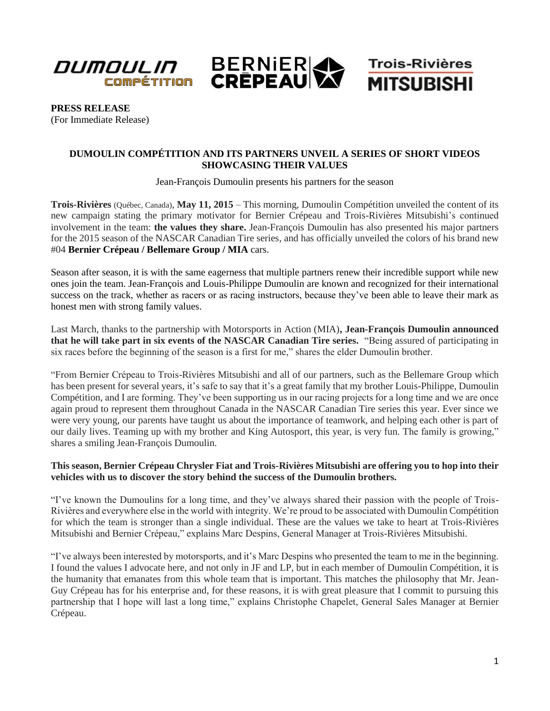

**PRESS RELEASE** (For Immediate Release)

## **DUMOULIN COMPÉTITION AND ITS PARTNERS UNVEIL A SERIES OF SHORT VIDEOS SHOWCASING THEIR VALUES**

Jean-François Dumoulin presents his partners for the season

**Trois-Rivières** (Québec, Canada), **May 11, 2015** – This morning, Dumoulin Compétition unveiled the content of its new campaign stating the primary motivator for Bernier Crépeau and Trois-Rivières Mitsubishi's continued involvement in the team: **the values they share.** Jean-François Dumoulin has also presented his major partners for the 2015 season of the NASCAR Canadian Tire series, and has officially unveiled the colors of his brand new #04 **Bernier Crépeau / Bellemare Group / MIA** cars.

Season after season, it is with the same eagerness that multiple partners renew their incredible support while new ones join the team. Jean-François and Louis-Philippe Dumoulin are known and recognized for their international success on the track, whether as racers or as racing instructors, because they've been able to leave their mark as honest men with strong family values.

Last March, thanks to the partnership with Motorsports in Action (MIA)**, Jean-François Dumoulin announced that he will take part in six events of the NASCAR Canadian Tire series.** "Being assured of participating in six races before the beginning of the season is a first for me," shares the elder Dumoulin brother.

"From Bernier Crépeau to Trois-Rivières Mitsubishi and all of our partners, such as the Bellemare Group which has been present for several years, it's safe to say that it's a great family that my brother Louis-Philippe, Dumoulin Compétition, and I are forming. They've been supporting us in our racing projects for a long time and we are once again proud to represent them throughout Canada in the NASCAR Canadian Tire series this year. Ever since we were very young, our parents have taught us about the importance of teamwork, and helping each other is part of our daily lives. Teaming up with my brother and King Autosport, this year, is very fun. The family is growing," shares a smiling Jean-François Dumoulin.

## **This season, Bernier Crépeau Chrysler Fiat and Trois-Rivières Mitsubishi are offering you to hop into their vehicles with us to discover the story behind the success of the Dumoulin brothers.**

"I've known the Dumoulins for a long time, and they've always shared their passion with the people of Trois-Rivières and everywhere else in the world with integrity. We're proud to be associated with Dumoulin Compétition for which the team is stronger than a single individual. These are the values we take to heart at Trois-Rivières Mitsubishi and Bernier Crépeau," explains Marc Despins, General Manager at Trois-Rivières Mitsubishi.

"I've always been interested by motorsports, and it's Marc Despins who presented the team to me in the beginning. I found the values I advocate here, and not only in JF and LP, but in each member of Dumoulin Compétition, it is the humanity that emanates from this whole team that is important. This matches the philosophy that Mr. Jean-Guy Crépeau has for his enterprise and, for these reasons, it is with great pleasure that I commit to pursuing this partnership that I hope will last a long time," explains Christophe Chapelet, General Sales Manager at Bernier Crépeau.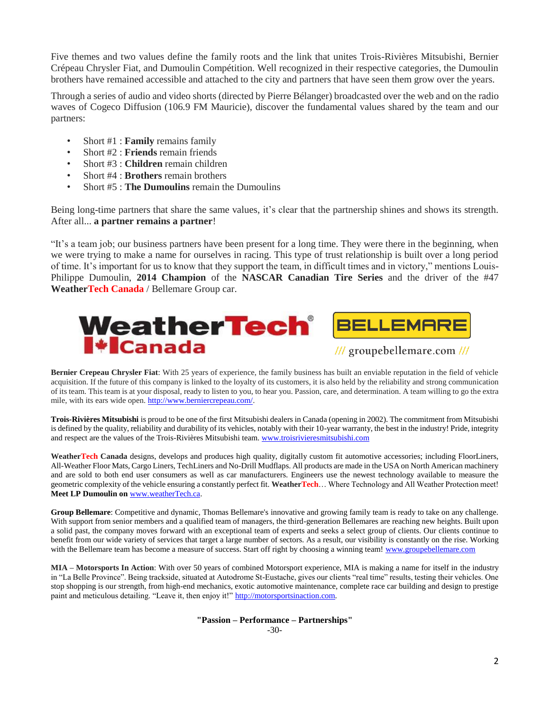Five themes and two values define the family roots and the link that unites Trois-Rivières Mitsubishi, Bernier Crépeau Chrysler Fiat, and Dumoulin Compétition. Well recognized in their respective categories, the Dumoulin brothers have remained accessible and attached to the city and partners that have seen them grow over the years.

Through a series of audio and video shorts (directed by Pierre Bélanger) broadcasted over the web and on the radio waves of Cogeco Diffusion (106.9 FM Mauricie), discover the fundamental values shared by the team and our partners:

- Short #1 : **Family** remains family
- Short #2 : **Friends** remain friends
- Short #3 : **Children** remain children
- Short #4 : **Brothers** remain brothers
- Short #5 : **The Dumoulins** remain the Dumoulins

Being long-time partners that share the same values, it's clear that the partnership shines and shows its strength. After all... **a partner remains a partner**!

"It's a team job; our business partners have been present for a long time. They were there in the beginning, when we were trying to make a name for ourselves in racing. This type of trust relationship is built over a long period of time. It's important for us to know that they support the team, in difficult times and in victory," mentions Louis-Philippe Dumoulin, **2014 Champion** of the **NASCAR Canadian Tire Series** and the driver of the #47 **WeatherTech Canada** / Bellemare Group car.



**Bernier Crepeau Chrysler Fiat**: With 25 years of experience, the family business has built an enviable reputation in the field of vehicle acquisition. If the future of this company is linked to the loyalty of its customers, it is also held by the reliability and strong communication of its team. This team is at your disposal, ready to listen to you, to hear you. Passion, care, and determination. A team willing to go the extra mile, with its ears wide open. [http://www.berniercrepeau.com/.](http://www.berniercrepeau.com/)

**Trois-Rivières Mitsubishi** is proud to be one of the first Mitsubishi dealers in Canada (opening in 2002). The commitment from Mitsubishi is defined by the quality, reliability and durability of its vehicles, notably with their 10-year warranty, the best in the industry! Pride, integrity and respect are the values of the Trois-Rivières Mitsubishi team[. www.troisrivieresmitsubishi.com](http://www.troisrivieresmitsubishi.com/)

**WeatherTech Canada** designs, develops and produces high quality, digitally custom fit automotive accessories; including FloorLiners, All-Weather Floor Mats, Cargo Liners, TechLiners and No-Drill Mudflaps. All products are made in the USA on North American machinery and are sold to both end user consumers as well as car manufacturers. Engineers use the newest technology available to measure the geometric complexity of the vehicle ensuring a constantly perfect fit. **WeatherTech**… Where Technology and All Weather Protection meet! **Meet LP Dumoulin on** [www.weatherTech.ca.](http://www.weathertech.ca/)

**Group Bellemare**: Competitive and dynamic, Thomas Bellemare's innovative and growing family team is ready to take on any challenge. With support from senior members and a qualified team of managers, the third-generation Bellemares are reaching new heights. Built upon a solid past, the company moves forward with an exceptional team of experts and seeks a select group of clients. Our clients continue to benefit from our wide variety of services that target a large number of sectors. As a result, our visibility is constantly on the rise. Working with the Bellemare team has become a measure of success. Start off right by choosing a winning team! [www.groupebellemare.com](http://www.groupebellemare.com/)

**MIA – Motorsports In Action**: With over 50 years of combined Motorsport experience, MIA is making a name for itself in the industry in "La Belle Province". Being trackside, situated at Autodrome St-Eustache, gives our clients "real time" results, testing their vehicles. One stop shopping is our strength, from high-end mechanics, exotic automotive maintenance, complete race car building and design to prestige paint and meticulous detailing. "Leave it, then enjoy it!" [http://motorsportsinaction.com.](http://motorsportsinaction.com/)

> **"Passion – Performance – Partnerships"** -30-